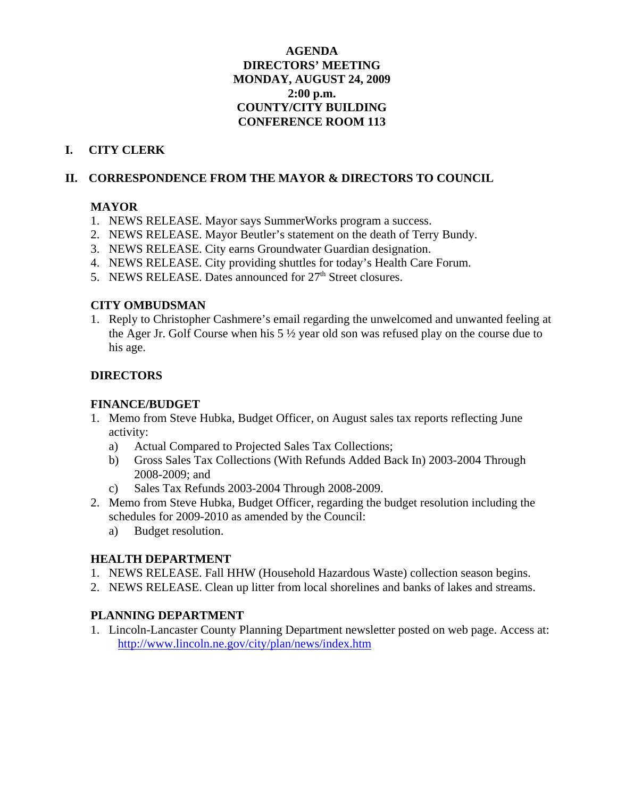#### **AGENDA DIRECTORS' MEETING MONDAY, AUGUST 24, 2009 2:00 p.m. COUNTY/CITY BUILDING CONFERENCE ROOM 113**

# **I. CITY CLERK**

#### **II. CORRESPONDENCE FROM THE MAYOR & DIRECTORS TO COUNCIL**

#### **MAYOR**

- 1. NEWS RELEASE. Mayor says SummerWorks program a success.
- 2. NEWS RELEASE. Mayor Beutler's statement on the death of Terry Bundy.
- 3. NEWS RELEASE. City earns Groundwater Guardian designation.
- 4. NEWS RELEASE. City providing shuttles for today's Health Care Forum.
- 5. NEWS RELEASE. Dates announced for  $27<sup>th</sup>$  Street closures.

#### **CITY OMBUDSMAN**

1. Reply to Christopher Cashmere's email regarding the unwelcomed and unwanted feeling at the Ager Jr. Golf Course when his 5 ½ year old son was refused play on the course due to his age.

## **DIRECTORS**

#### **FINANCE/BUDGET**

- 1. Memo from Steve Hubka, Budget Officer, on August sales tax reports reflecting June activity:
	- a) Actual Compared to Projected Sales Tax Collections;
	- b) Gross Sales Tax Collections (With Refunds Added Back In) 2003-2004 Through 2008-2009; and
	- c) Sales Tax Refunds 2003-2004 Through 2008-2009.
- 2. Memo from Steve Hubka, Budget Officer, regarding the budget resolution including the schedules for 2009-2010 as amended by the Council:
	- a) Budget resolution.

## **HEALTH DEPARTMENT**

- 1. NEWS RELEASE. Fall HHW (Household Hazardous Waste) collection season begins.
- 2. NEWS RELEASE. Clean up litter from local shorelines and banks of lakes and streams.

## **PLANNING DEPARTMENT**

1. Lincoln-Lancaster County Planning Department newsletter posted on web page. Access at: http://www.lincoln.ne.gov/city/plan/news/index.htm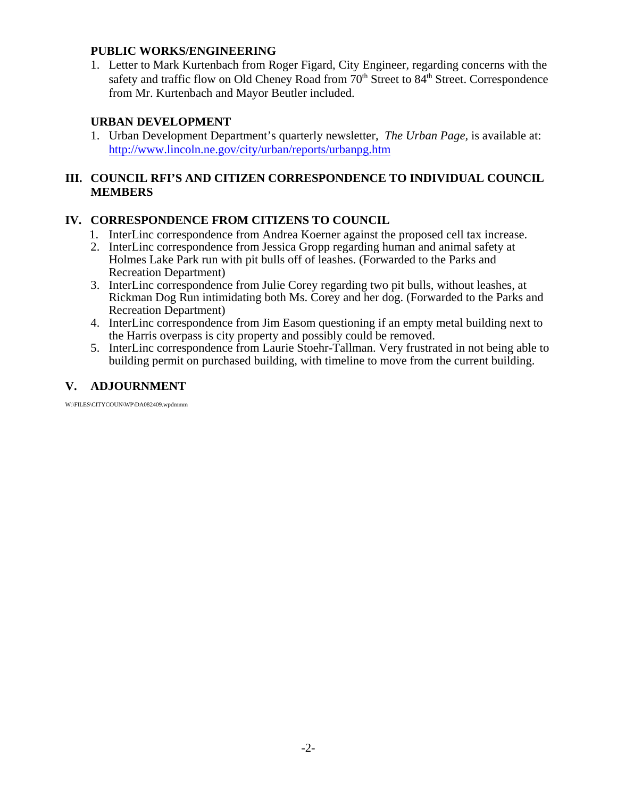#### **PUBLIC WORKS/ENGINEERING**

1. Letter to Mark Kurtenbach from Roger Figard, City Engineer, regarding concerns with the safety and traffic flow on Old Cheney Road from  $70<sup>th</sup>$  Street to  $84<sup>th</sup>$  Street. Correspondence from Mr. Kurtenbach and Mayor Beutler included.

#### **URBAN DEVELOPMENT**

1. Urban Development Department's quarterly newsletter, *The Urban Page,* is available at: http://www.lincoln.ne.gov/city/urban/reports/urbanpg.htm

## **III. COUNCIL RFI'S AND CITIZEN CORRESPONDENCE TO INDIVIDUAL COUNCIL MEMBERS**

## **IV. CORRESPONDENCE FROM CITIZENS TO COUNCIL**

- 1. InterLinc correspondence from Andrea Koerner against the proposed cell tax increase.
- 2. InterLinc correspondence from Jessica Gropp regarding human and animal safety at Holmes Lake Park run with pit bulls off of leashes. (Forwarded to the Parks and Recreation Department)
- 3. InterLinc correspondence from Julie Corey regarding two pit bulls, without leashes, at Rickman Dog Run intimidating both Ms. Corey and her dog. (Forwarded to the Parks and Recreation Department)
- 4. InterLinc correspondence from Jim Easom questioning if an empty metal building next to the Harris overpass is city property and possibly could be removed.
- 5. InterLinc correspondence from Laurie Stoehr-Tallman. Very frustrated in not being able to building permit on purchased building, with timeline to move from the current building.

# **V. ADJOURNMENT**

W:\FILES\CITYCOUN\WP\DA082409.wpdmmm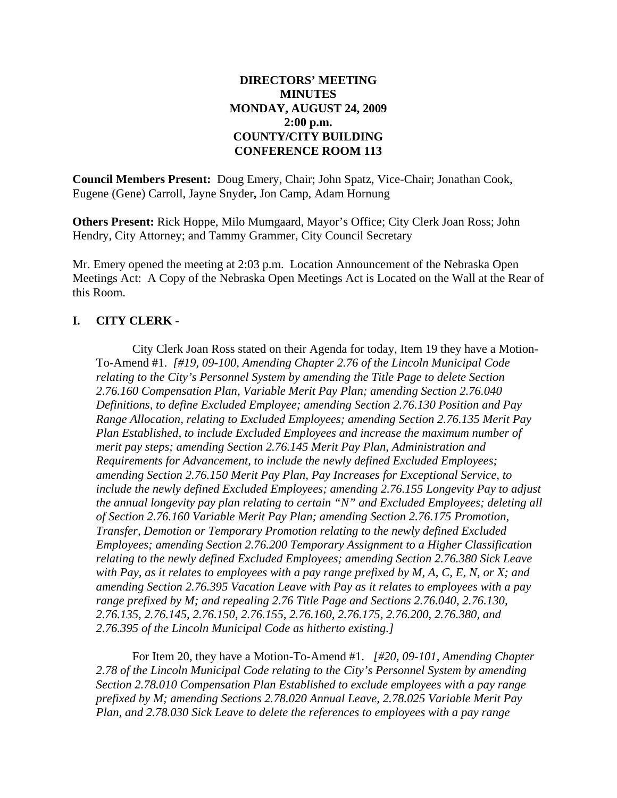#### **DIRECTORS' MEETING MINUTES MONDAY, AUGUST 24, 2009 2:00 p.m. COUNTY/CITY BUILDING CONFERENCE ROOM 113**

**Council Members Present:** Doug Emery, Chair; John Spatz, Vice-Chair; Jonathan Cook, Eugene (Gene) Carroll, Jayne Snyder**,** Jon Camp, Adam Hornung

**Others Present:** Rick Hoppe, Milo Mumgaard, Mayor's Office; City Clerk Joan Ross; John Hendry, City Attorney; and Tammy Grammer, City Council Secretary

Mr. Emery opened the meeting at 2:03 p.m. Location Announcement of the Nebraska Open Meetings Act: A Copy of the Nebraska Open Meetings Act is Located on the Wall at the Rear of this Room.

## **I. CITY CLERK** -

City Clerk Joan Ross stated on their Agenda for today, Item 19 they have a Motion-To-Amend #1. *[#19, 09-100, Amending Chapter 2.76 of the Lincoln Municipal Code relating to the City's Personnel System by amending the Title Page to delete Section 2.76.160 Compensation Plan, Variable Merit Pay Plan; amending Section 2.76.040 Definitions, to define Excluded Employee; amending Section 2.76.130 Position and Pay Range Allocation, relating to Excluded Employees; amending Section 2.76.135 Merit Pay Plan Established, to include Excluded Employees and increase the maximum number of merit pay steps; amending Section 2.76.145 Merit Pay Plan, Administration and Requirements for Advancement, to include the newly defined Excluded Employees; amending Section 2.76.150 Merit Pay Plan, Pay Increases for Exceptional Service, to include the newly defined Excluded Employees; amending 2.76.155 Longevity Pay to adjust the annual longevity pay plan relating to certain "N" and Excluded Employees; deleting all of Section 2.76.160 Variable Merit Pay Plan; amending Section 2.76.175 Promotion, Transfer, Demotion or Temporary Promotion relating to the newly defined Excluded Employees; amending Section 2.76.200 Temporary Assignment to a Higher Classification relating to the newly defined Excluded Employees; amending Section 2.76.380 Sick Leave with Pay, as it relates to employees with a pay range prefixed by M, A, C, E, N, or X; and amending Section 2.76.395 Vacation Leave with Pay as it relates to employees with a pay range prefixed by M; and repealing 2.76 Title Page and Sections 2.76.040, 2.76.130, 2.76.135, 2.76.145, 2.76.150, 2.76.155, 2.76.160, 2.76.175, 2.76.200, 2.76.380, and 2.76.395 of the Lincoln Municipal Code as hitherto existing.]*

For Item 20, they have a Motion-To-Amend #1. *[#20, 09-101, Amending Chapter 2.78 of the Lincoln Municipal Code relating to the City's Personnel System by amending Section 2.78.010 Compensation Plan Established to exclude employees with a pay range prefixed by M; amending Sections 2.78.020 Annual Leave, 2.78.025 Variable Merit Pay Plan, and 2.78.030 Sick Leave to delete the references to employees with a pay range*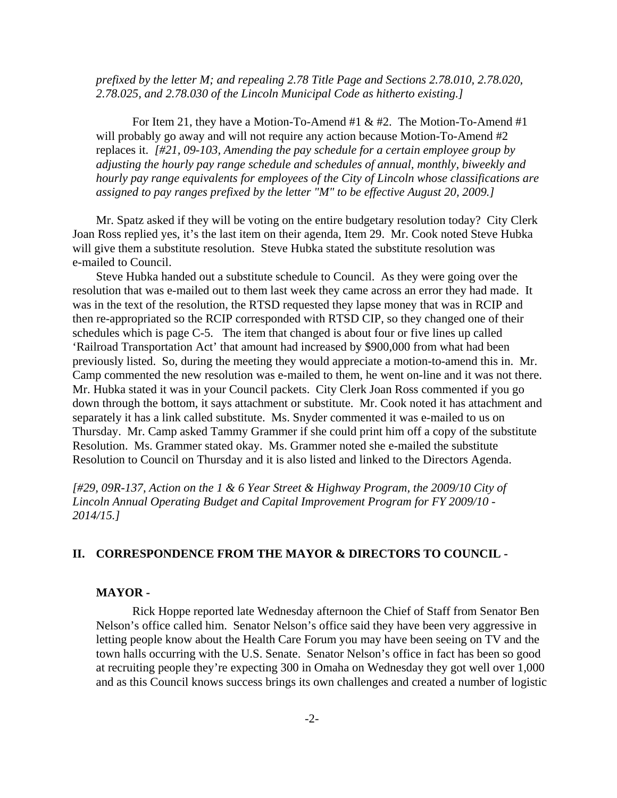*prefixed by the letter M; and repealing 2.78 Title Page and Sections 2.78.010, 2.78.020, 2.78.025, and 2.78.030 of the Lincoln Municipal Code as hitherto existing.]*

For Item 21, they have a Motion-To-Amend #1  $\&$  #2. The Motion-To-Amend #1 will probably go away and will not require any action because Motion-To-Amend #2 replaces it. *[#21, 09-103, Amending the pay schedule for a certain employee group by adjusting the hourly pay range schedule and schedules of annual, monthly, biweekly and hourly pay range equivalents for employees of the City of Lincoln whose classifications are assigned to pay ranges prefixed by the letter "M" to be effective August 20, 2009.]*

Mr. Spatz asked if they will be voting on the entire budgetary resolution today? City Clerk Joan Ross replied yes, it's the last item on their agenda, Item 29. Mr. Cook noted Steve Hubka will give them a substitute resolution. Steve Hubka stated the substitute resolution was e-mailed to Council.

Steve Hubka handed out a substitute schedule to Council. As they were going over the resolution that was e-mailed out to them last week they came across an error they had made. It was in the text of the resolution, the RTSD requested they lapse money that was in RCIP and then re-appropriated so the RCIP corresponded with RTSD CIP, so they changed one of their schedules which is page C-5. The item that changed is about four or five lines up called 'Railroad Transportation Act' that amount had increased by \$900,000 from what had been previously listed. So, during the meeting they would appreciate a motion-to-amend this in. Mr. Camp commented the new resolution was e-mailed to them, he went on-line and it was not there. Mr. Hubka stated it was in your Council packets. City Clerk Joan Ross commented if you go down through the bottom, it says attachment or substitute. Mr. Cook noted it has attachment and separately it has a link called substitute. Ms. Snyder commented it was e-mailed to us on Thursday. Mr. Camp asked Tammy Grammer if she could print him off a copy of the substitute Resolution. Ms. Grammer stated okay. Ms. Grammer noted she e-mailed the substitute Resolution to Council on Thursday and it is also listed and linked to the Directors Agenda.

*[#29, 09R-137, Action on the 1 & 6 Year Street & Highway Program, the 2009/10 City of Lincoln Annual Operating Budget and Capital Improvement Program for FY 2009/10 - 2014/15.]*

#### **II. CORRESPONDENCE FROM THE MAYOR & DIRECTORS TO COUNCIL -**

#### **MAYOR -**

Rick Hoppe reported late Wednesday afternoon the Chief of Staff from Senator Ben Nelson's office called him. Senator Nelson's office said they have been very aggressive in letting people know about the Health Care Forum you may have been seeing on TV and the town halls occurring with the U.S. Senate. Senator Nelson's office in fact has been so good at recruiting people they're expecting 300 in Omaha on Wednesday they got well over 1,000 and as this Council knows success brings its own challenges and created a number of logistic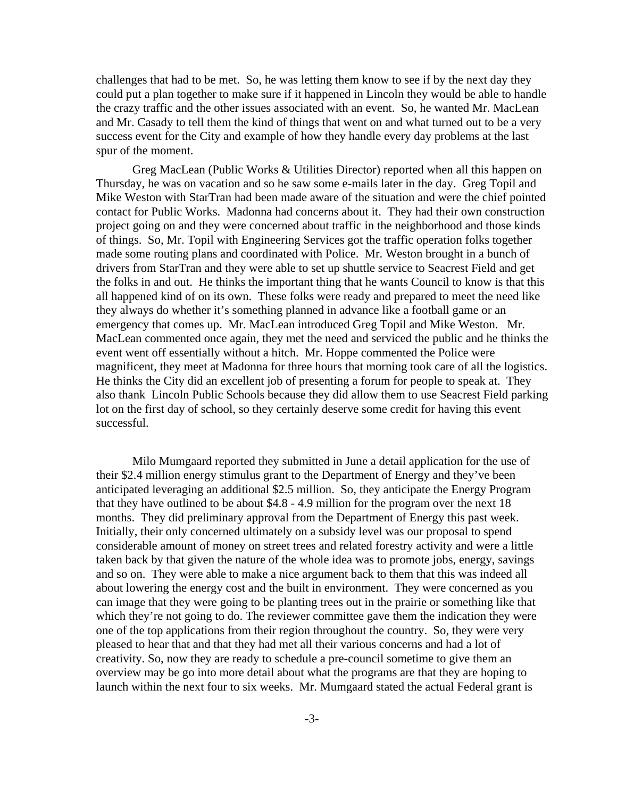challenges that had to be met. So, he was letting them know to see if by the next day they could put a plan together to make sure if it happened in Lincoln they would be able to handle the crazy traffic and the other issues associated with an event. So, he wanted Mr. MacLean and Mr. Casady to tell them the kind of things that went on and what turned out to be a very success event for the City and example of how they handle every day problems at the last spur of the moment.

Greg MacLean (Public Works & Utilities Director) reported when all this happen on Thursday, he was on vacation and so he saw some e-mails later in the day. Greg Topil and Mike Weston with StarTran had been made aware of the situation and were the chief pointed contact for Public Works. Madonna had concerns about it. They had their own construction project going on and they were concerned about traffic in the neighborhood and those kinds of things. So, Mr. Topil with Engineering Services got the traffic operation folks together made some routing plans and coordinated with Police. Mr. Weston brought in a bunch of drivers from StarTran and they were able to set up shuttle service to Seacrest Field and get the folks in and out. He thinks the important thing that he wants Council to know is that this all happened kind of on its own. These folks were ready and prepared to meet the need like they always do whether it's something planned in advance like a football game or an emergency that comes up. Mr. MacLean introduced Greg Topil and Mike Weston. Mr. MacLean commented once again, they met the need and serviced the public and he thinks the event went off essentially without a hitch. Mr. Hoppe commented the Police were magnificent, they meet at Madonna for three hours that morning took care of all the logistics. He thinks the City did an excellent job of presenting a forum for people to speak at. They also thank Lincoln Public Schools because they did allow them to use Seacrest Field parking lot on the first day of school, so they certainly deserve some credit for having this event successful.

Milo Mumgaard reported they submitted in June a detail application for the use of their \$2.4 million energy stimulus grant to the Department of Energy and they've been anticipated leveraging an additional \$2.5 million. So, they anticipate the Energy Program that they have outlined to be about \$4.8 - 4.9 million for the program over the next 18 months. They did preliminary approval from the Department of Energy this past week. Initially, their only concerned ultimately on a subsidy level was our proposal to spend considerable amount of money on street trees and related forestry activity and were a little taken back by that given the nature of the whole idea was to promote jobs, energy, savings and so on. They were able to make a nice argument back to them that this was indeed all about lowering the energy cost and the built in environment. They were concerned as you can image that they were going to be planting trees out in the prairie or something like that which they're not going to do. The reviewer committee gave them the indication they were one of the top applications from their region throughout the country. So, they were very pleased to hear that and that they had met all their various concerns and had a lot of creativity. So, now they are ready to schedule a pre-council sometime to give them an overview may be go into more detail about what the programs are that they are hoping to launch within the next four to six weeks. Mr. Mumgaard stated the actual Federal grant is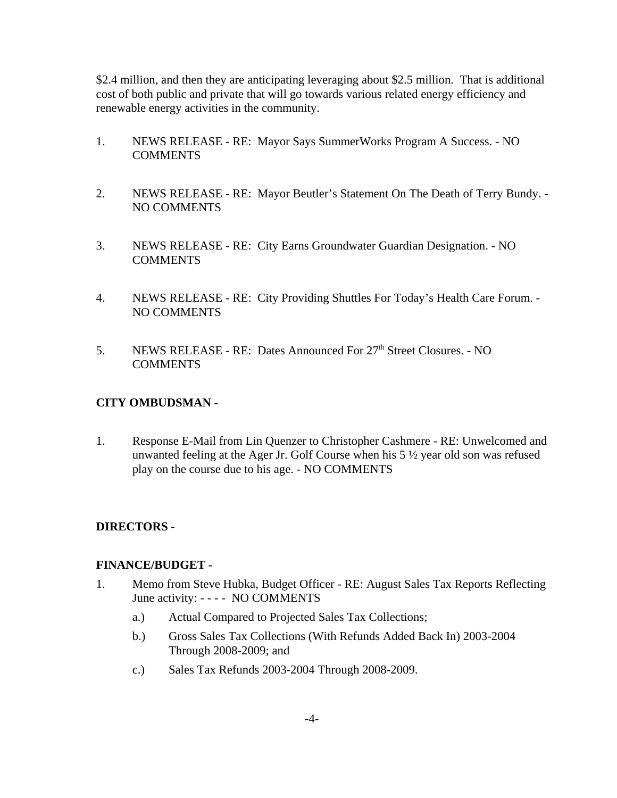\$2.4 million, and then they are anticipating leveraging about \$2.5 million. That is additional cost of both public and private that will go towards various related energy efficiency and renewable energy activities in the community.

- 1. NEWS RELEASE RE: Mayor Says SummerWorks Program A Success. NO COMMENTS
- 2. NEWS RELEASE RE: Mayor Beutler's Statement On The Death of Terry Bundy. NO COMMENTS
- 3. NEWS RELEASE RE: City Earns Groundwater Guardian Designation. NO COMMENTS
- 4. NEWS RELEASE RE: City Providing Shuttles For Today's Health Care Forum. NO COMMENTS
- 5. NEWS RELEASE RE: Dates Announced For 27<sup>th</sup> Street Closures. NO COMMENTS

#### **CITY OMBUDSMAN -**

1. Response E-Mail from Lin Quenzer to Christopher Cashmere - RE: Unwelcomed and unwanted feeling at the Ager Jr. Golf Course when his 5 ½ year old son was refused play on the course due to his age. - NO COMMENTS

## **DIRECTORS -**

#### **FINANCE/BUDGET -**

- 1. Memo from Steve Hubka, Budget Officer RE: August Sales Tax Reports Reflecting June activity: - - - - NO COMMENTS
	- a.) Actual Compared to Projected Sales Tax Collections;
	- b.) Gross Sales Tax Collections (With Refunds Added Back In) 2003-2004 Through 2008-2009; and
	- c.) Sales Tax Refunds 2003-2004 Through 2008-2009.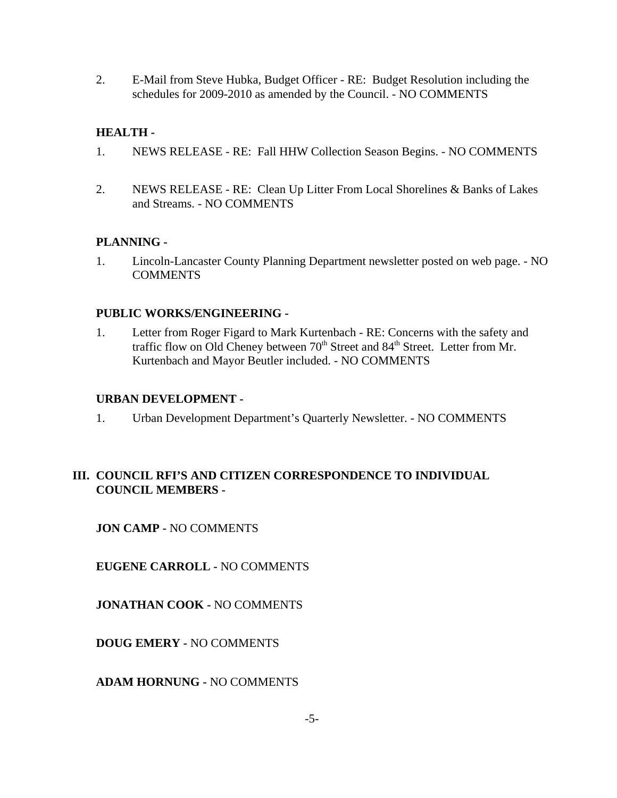2. E-Mail from Steve Hubka, Budget Officer - RE: Budget Resolution including the schedules for 2009-2010 as amended by the Council. - NO COMMENTS

# **HEALTH -**

- 1. NEWS RELEASE RE: Fall HHW Collection Season Begins. NO COMMENTS
- 2. NEWS RELEASE RE: Clean Up Litter From Local Shorelines & Banks of Lakes and Streams. - NO COMMENTS

# **PLANNING -**

1. Lincoln-Lancaster County Planning Department newsletter posted on web page. - NO COMMENTS

# **PUBLIC WORKS/ENGINEERING -**

1. Letter from Roger Figard to Mark Kurtenbach - RE: Concerns with the safety and traffic flow on Old Cheney between 70<sup>th</sup> Street and 84<sup>th</sup> Street. Letter from Mr. Kurtenbach and Mayor Beutler included. - NO COMMENTS

# **URBAN DEVELOPMENT -**

1. Urban Development Department's Quarterly Newsletter. - NO COMMENTS

## **III. COUNCIL RFI'S AND CITIZEN CORRESPONDENCE TO INDIVIDUAL COUNCIL MEMBERS -**

**JON CAMP -** NO COMMENTS

**EUGENE CARROLL -** NO COMMENTS

**JONATHAN COOK -** NO COMMENTS

**DOUG EMERY -** NO COMMENTS

**ADAM HORNUNG -** NO COMMENTS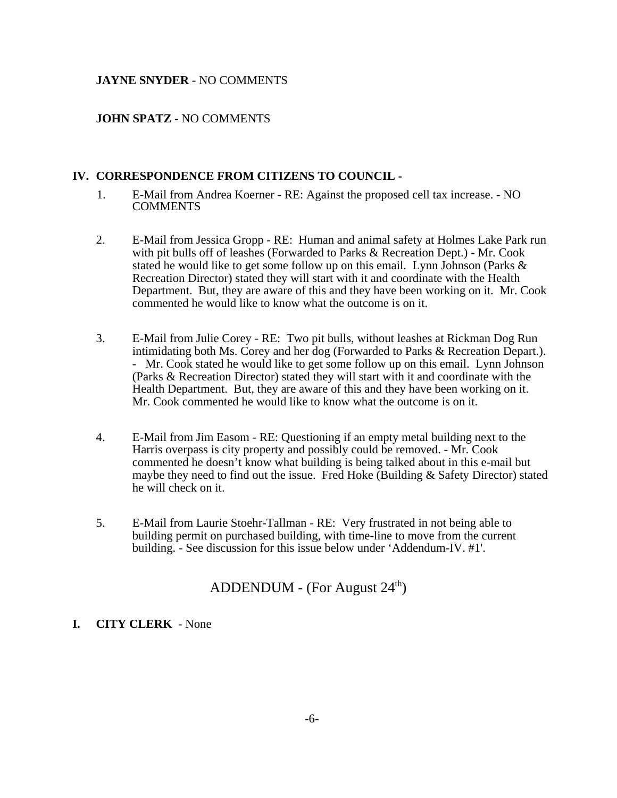#### **JAYNE SNYDER -** NO COMMENTS

#### **JOHN SPATZ -** NO COMMENTS

#### **IV. CORRESPONDENCE FROM CITIZENS TO COUNCIL -**

- 1. E-Mail from Andrea Koerner RE: Against the proposed cell tax increase. NO **COMMENTS**
- 2. E-Mail from Jessica Gropp RE: Human and animal safety at Holmes Lake Park run with pit bulls off of leashes (Forwarded to Parks & Recreation Dept.) - Mr. Cook stated he would like to get some follow up on this email. Lynn Johnson (Parks & Recreation Director) stated they will start with it and coordinate with the Health Department. But, they are aware of this and they have been working on it. Mr. Cook commented he would like to know what the outcome is on it.
- 3. E-Mail from Julie Corey RE: Two pit bulls, without leashes at Rickman Dog Run intimidating both Ms. Corey and her dog (Forwarded to Parks & Recreation Depart.). - Mr. Cook stated he would like to get some follow up on this email. Lynn Johnson (Parks & Recreation Director) stated they will start with it and coordinate with the Health Department. But, they are aware of this and they have been working on it. Mr. Cook commented he would like to know what the outcome is on it.
- 4. E-Mail from Jim Easom RE: Questioning if an empty metal building next to the Harris overpass is city property and possibly could be removed. - Mr. Cook commented he doesn't know what building is being talked about in this e-mail but maybe they need to find out the issue. Fred Hoke (Building & Safety Director) stated he will check on it.
- 5. E-Mail from Laurie Stoehr-Tallman RE: Very frustrated in not being able to building permit on purchased building, with time-line to move from the current building. - See discussion for this issue below under 'Addendum-IV. #1'.

# ADDENDUM - (For August  $24<sup>th</sup>$ )

#### **I. CITY CLERK** - None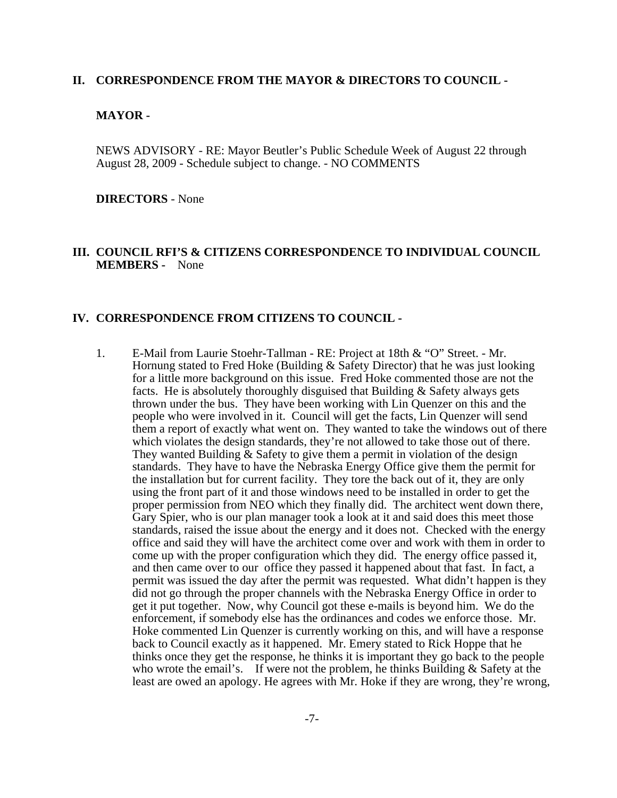#### **II. CORRESPONDENCE FROM THE MAYOR & DIRECTORS TO COUNCIL -**

#### **MAYOR -**

NEWS ADVISORY - RE: Mayor Beutler's Public Schedule Week of August 22 through August 28, 2009 - Schedule subject to change. - NO COMMENTS

**DIRECTORS** - None

#### **III. COUNCIL RFI'S & CITIZENS CORRESPONDENCE TO INDIVIDUAL COUNCIL MEMBERS -** None

#### **IV. CORRESPONDENCE FROM CITIZENS TO COUNCIL -**

1. E-Mail from Laurie Stoehr-Tallman - RE: Project at 18th & "O" Street. - Mr. Hornung stated to Fred Hoke (Building & Safety Director) that he was just looking for a little more background on this issue. Fred Hoke commented those are not the facts. He is absolutely thoroughly disguised that Building & Safety always gets thrown under the bus. They have been working with Lin Quenzer on this and the people who were involved in it. Council will get the facts, Lin Quenzer will send them a report of exactly what went on. They wanted to take the windows out of there which violates the design standards, they're not allowed to take those out of there. They wanted Building & Safety to give them a permit in violation of the design standards. They have to have the Nebraska Energy Office give them the permit for the installation but for current facility. They tore the back out of it, they are only using the front part of it and those windows need to be installed in order to get the proper permission from NEO which they finally did. The architect went down there, Gary Spier, who is our plan manager took a look at it and said does this meet those standards, raised the issue about the energy and it does not. Checked with the energy office and said they will have the architect come over and work with them in order to come up with the proper configuration which they did. The energy office passed it, and then came over to our office they passed it happened about that fast. In fact, a permit was issued the day after the permit was requested. What didn't happen is they did not go through the proper channels with the Nebraska Energy Office in order to get it put together. Now, why Council got these e-mails is beyond him. We do the enforcement, if somebody else has the ordinances and codes we enforce those. Mr. Hoke commented Lin Quenzer is currently working on this, and will have a response back to Council exactly as it happened. Mr. Emery stated to Rick Hoppe that he thinks once they get the response, he thinks it is important they go back to the people who wrote the email's. If were not the problem, he thinks Building & Safety at the least are owed an apology. He agrees with Mr. Hoke if they are wrong, they're wrong,